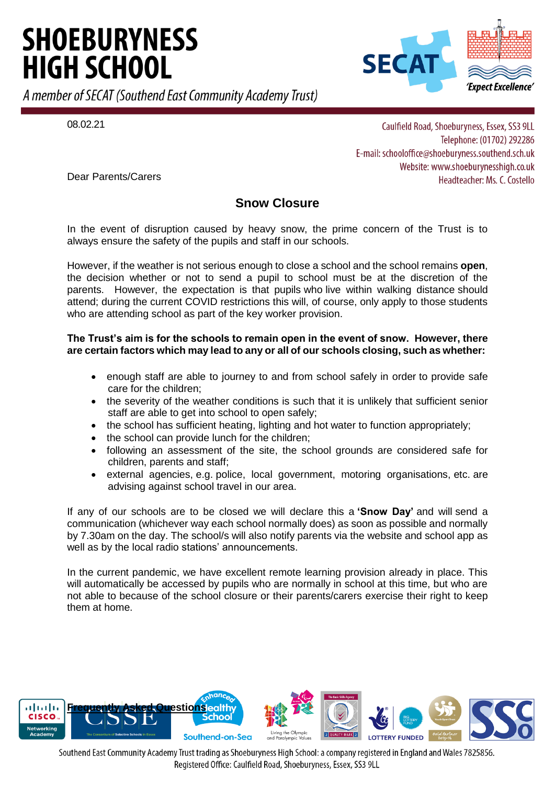# **SHOEBURYNESS HIGH SCHOOL**

A member of SECAT (Southend East Community Academy Trust)



08.02.21

Caulfield Road, Shoeburyness, Essex, SS3 9LL Telephone: (01702) 292286 E-mail: schooloffice@shoeburyness.southend.sch.uk Website: www.shoeburynesshigh.co.uk Headteacher: Ms. C. Costello

Dear Parents/Carers

# **Snow Closure**

In the event of disruption caused by heavy snow, the prime concern of the Trust is to always ensure the safety of the pupils and staff in our schools.

However, if the weather is not serious enough to close a school and the school remains **open**, the decision whether or not to send a pupil to school must be at the discretion of the parents. However, the expectation is that pupils who live within walking distance should attend; during the current COVID restrictions this will, of course, only apply to those students who are attending school as part of the key worker provision.

# **The Trust's aim is for the schools to remain open in the event of snow. However, there are certain factors which may lead to any or all of our schools closing, such as whether:**

- enough staff are able to journey to and from school safely in order to provide safe care for the children;
- the severity of the weather conditions is such that it is unlikely that sufficient senior staff are able to get into school to open safely;
- the school has sufficient heating, lighting and hot water to function appropriately;
- the school can provide lunch for the children;
- following an assessment of the site, the school grounds are considered safe for children, parents and staff;
- external agencies, e.g. police, local government, motoring organisations, etc. are advising against school travel in our area.

If any of our schools are to be closed we will declare this a **'Snow Day'** and will send a communication (whichever way each school normally does) as soon as possible and normally by 7.30am on the day. The school/s will also notify parents via the website and school app as well as by the local radio stations' announcements.

In the current pandemic, we have excellent remote learning provision already in place. This will automatically be accessed by pupils who are normally in school at this time, but who are not able to because of the school closure or their parents/carers exercise their right to keep them at home.



Southend East Community Academy Trust trading as Shoeburyness High School: a company registered in England and Wales 7825856. Registered Office: Caulfield Road, Shoeburyness, Essex, SS3 9LL